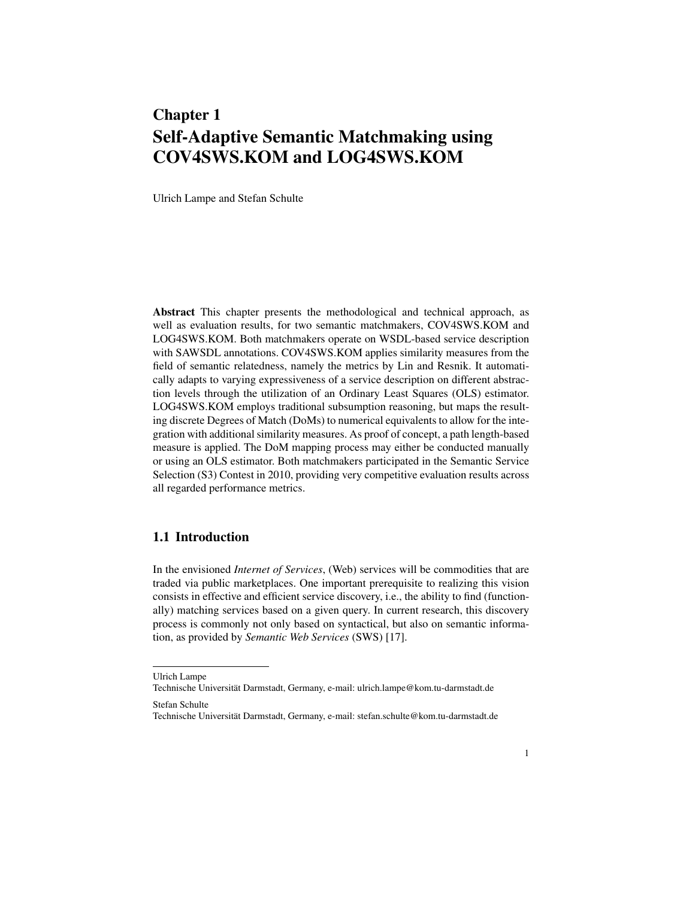# Chapter 1 Self-Adaptive Semantic Matchmaking using COV4SWS.KOM and LOG4SWS.KOM

Ulrich Lampe and Stefan Schulte

Abstract This chapter presents the methodological and technical approach, as well as evaluation results, for two semantic matchmakers, COV4SWS.KOM and LOG4SWS.KOM. Both matchmakers operate on WSDL-based service description with SAWSDL annotations. COV4SWS.KOM applies similarity measures from the field of semantic relatedness, namely the metrics by Lin and Resnik. It automatically adapts to varying expressiveness of a service description on different abstraction levels through the utilization of an Ordinary Least Squares (OLS) estimator. LOG4SWS.KOM employs traditional subsumption reasoning, but maps the resulting discrete Degrees of Match (DoMs) to numerical equivalents to allow for the integration with additional similarity measures. As proof of concept, a path length-based measure is applied. The DoM mapping process may either be conducted manually or using an OLS estimator. Both matchmakers participated in the Semantic Service Selection (S3) Contest in 2010, providing very competitive evaluation results across all regarded performance metrics.

## 1.1 Introduction

In the envisioned *Internet of Services*, (Web) services will be commodities that are traded via public marketplaces. One important prerequisite to realizing this vision consists in effective and efficient service discovery, i.e., the ability to find (functionally) matching services based on a given query. In current research, this discovery process is commonly not only based on syntactical, but also on semantic information, as provided by *Semantic Web Services* (SWS) [17].

Stefan Schulte

Ulrich Lampe

Technische Universitat Darmstadt, Germany, e-mail: ulrich.lampe@kom.tu-darmstadt.de ¨

Technische Universitat Darmstadt, Germany, e-mail: stefan.schulte@kom.tu-darmstadt.de ¨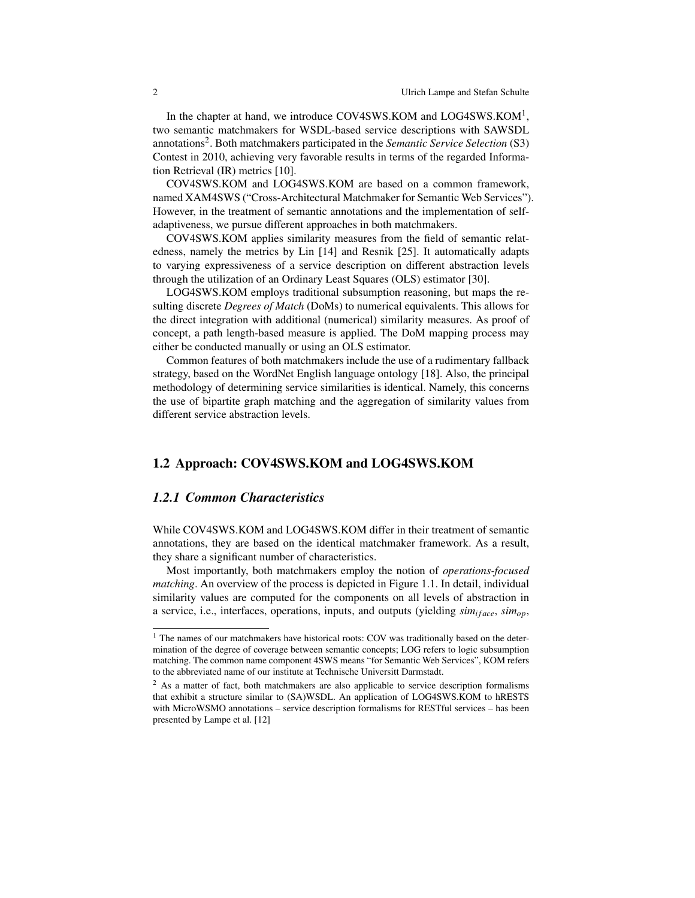In the chapter at hand, we introduce COV4SWS.KOM and LOG4SWS.KOM<sup>1</sup>, two semantic matchmakers for WSDL-based service descriptions with SAWSDL annotations<sup>2</sup> . Both matchmakers participated in the *Semantic Service Selection* (S3) Contest in 2010, achieving very favorable results in terms of the regarded Information Retrieval (IR) metrics [10].

COV4SWS.KOM and LOG4SWS.KOM are based on a common framework, named XAM4SWS ("Cross-Architectural Matchmaker for Semantic Web Services"). However, in the treatment of semantic annotations and the implementation of selfadaptiveness, we pursue different approaches in both matchmakers.

COV4SWS.KOM applies similarity measures from the field of semantic relatedness, namely the metrics by Lin [14] and Resnik [25]. It automatically adapts to varying expressiveness of a service description on different abstraction levels through the utilization of an Ordinary Least Squares (OLS) estimator [30].

LOG4SWS.KOM employs traditional subsumption reasoning, but maps the resulting discrete *Degrees of Match* (DoMs) to numerical equivalents. This allows for the direct integration with additional (numerical) similarity measures. As proof of concept, a path length-based measure is applied. The DoM mapping process may either be conducted manually or using an OLS estimator.

Common features of both matchmakers include the use of a rudimentary fallback strategy, based on the WordNet English language ontology [18]. Also, the principal methodology of determining service similarities is identical. Namely, this concerns the use of bipartite graph matching and the aggregation of similarity values from different service abstraction levels.

## 1.2 Approach: COV4SWS.KOM and LOG4SWS.KOM

#### *1.2.1 Common Characteristics*

While COV4SWS.KOM and LOG4SWS.KOM differ in their treatment of semantic annotations, they are based on the identical matchmaker framework. As a result, they share a significant number of characteristics.

Most importantly, both matchmakers employ the notion of *operations-focused matching*. An overview of the process is depicted in Figure 1.1. In detail, individual similarity values are computed for the components on all levels of abstraction in a service, i.e., interfaces, operations, inputs, and outputs (yielding  $\text{sim}_{\text{if} \text{face}}$ ,  $\text{sim}_{\text{op}}$ )

<sup>&</sup>lt;sup>1</sup> The names of our matchmakers have historical roots: COV was traditionally based on the determination of the degree of coverage between semantic concepts; LOG refers to logic subsumption matching. The common name component 4SWS means "for Semantic Web Services", KOM refers to the abbreviated name of our institute at Technische Universitt Darmstadt.

<sup>&</sup>lt;sup>2</sup> As a matter of fact, both matchmakers are also applicable to service description formalisms that exhibit a structure similar to (SA)WSDL. An application of LOG4SWS.KOM to hRESTS with MicroWSMO annotations – service description formalisms for RESTful services – has been presented by Lampe et al. [12]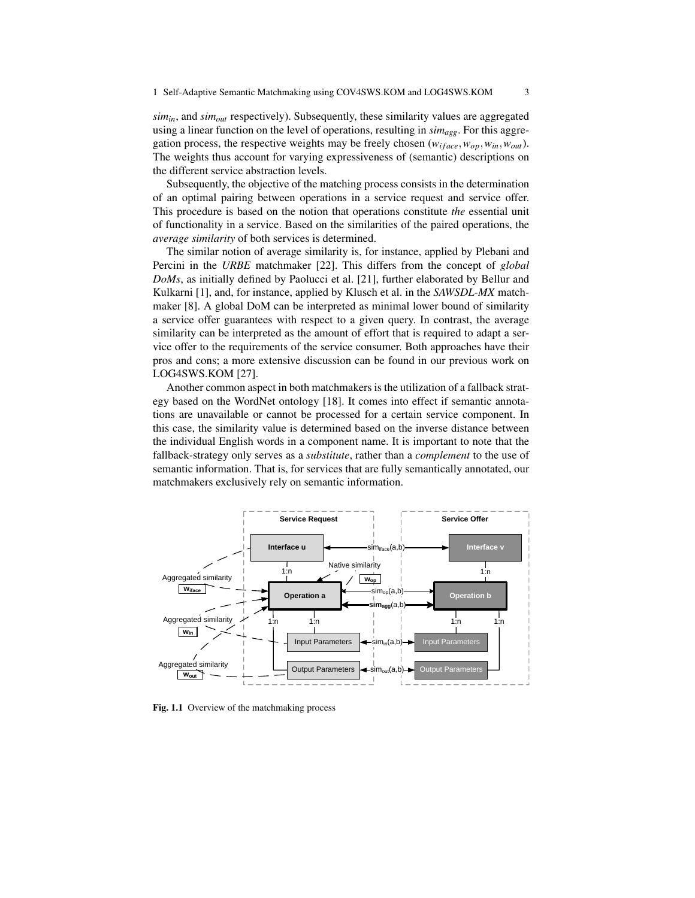$sim<sub>in</sub>$ , and  $sim<sub>out</sub>$  respectively). Subsequently, these similarity values are aggregated using a linear function on the level of operations, resulting in *simagg*. For this aggregation process, the respective weights may be freely chosen ( $w_{iface}, w_{op}, w_{in}, w_{out}$ ). The weights thus account for varying expressiveness of (semantic) descriptions on the different service abstraction levels.

Subsequently, the objective of the matching process consists in the determination of an optimal pairing between operations in a service request and service offer. This procedure is based on the notion that operations constitute *the* essential unit of functionality in a service. Based on the similarities of the paired operations, the *average similarity* of both services is determined.

The similar notion of average similarity is, for instance, applied by Plebani and Percini in the *URBE* matchmaker [22]. This differs from the concept of *global DoMs*, as initially defined by Paolucci et al. [21], further elaborated by Bellur and Kulkarni [1], and, for instance, applied by Klusch et al. in the *SAWSDL-MX* matchmaker [8]. A global DoM can be interpreted as minimal lower bound of similarity a service offer guarantees with respect to a given query. In contrast, the average similarity can be interpreted as the amount of effort that is required to adapt a service offer to the requirements of the service consumer. Both approaches have their pros and cons; a more extensive discussion can be found in our previous work on LOG4SWS.KOM [27].

Another common aspect in both matchmakers is the utilization of a fallback strategy based on the WordNet ontology [18]. It comes into effect if semantic annotations are unavailable or cannot be processed for a certain service component. In this case, the similarity value is determined based on the inverse distance between the individual English words in a component name. It is important to note that the fallback-strategy only serves as a *substitute*, rather than a *complement* to the use of semantic information. That is, for services that are fully semantically annotated, our matchmakers exclusively rely on semantic information.



Fig. 1.1 Overview of the matchmaking process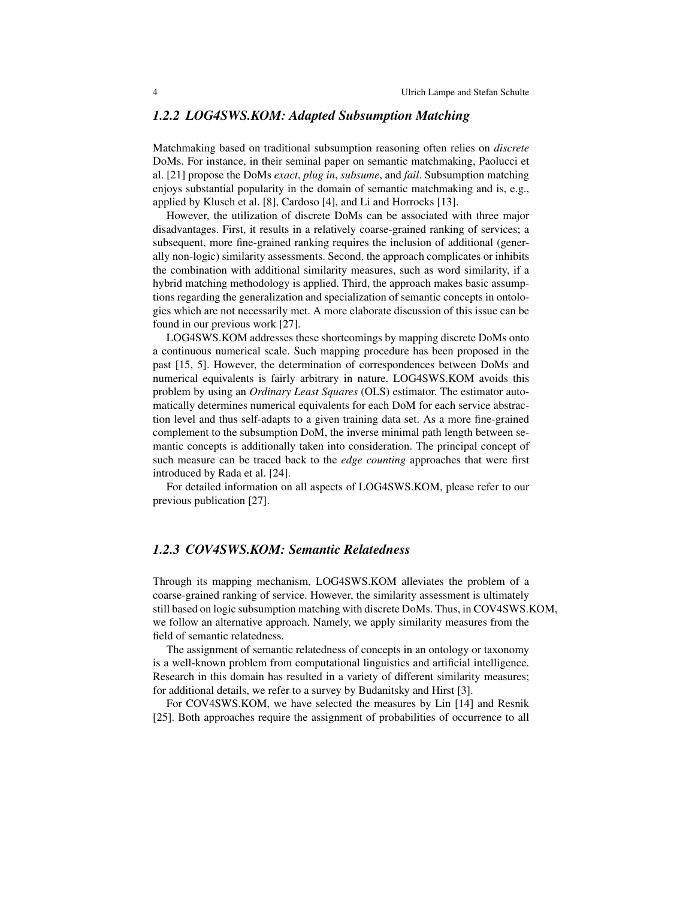#### *1.2.2 LOG4SWS.KOM: Adapted Subsumption Matching*

Matchmaking based on traditional subsumption reasoning often relies on *discrete* DoMs. For instance, in their seminal paper on semantic matchmaking, Paolucci et al. [21] propose the DoMs *exact*, *plug in*, *subsume*, and *fail*. Subsumption matching enjoys substantial popularity in the domain of semantic matchmaking and is, e.g., applied by Klusch et al. [8], Cardoso [4], and Li and Horrocks [13].

However, the utilization of discrete DoMs can be associated with three major disadvantages. First, it results in a relatively coarse-grained ranking of services; a subsequent, more fine-grained ranking requires the inclusion of additional (generally non-logic) similarity assessments. Second, the approach complicates or inhibits the combination with additional similarity measures, such as word similarity, if a hybrid matching methodology is applied. Third, the approach makes basic assumptions regarding the generalization and specialization of semantic concepts in ontologies which are not necessarily met. A more elaborate discussion of this issue can be found in our previous work [27].

LOG4SWS.KOM addresses these shortcomings by mapping discrete DoMs onto a continuous numerical scale. Such mapping procedure has been proposed in the past [15, 5]. However, the determination of correspondences between DoMs and numerical equivalents is fairly arbitrary in nature. LOG4SWS.KOM avoids this problem by using an *Ordinary Least Squares* (OLS) estimator. The estimator automatically determines numerical equivalents for each DoM for each service abstraction level and thus self-adapts to a given training data set. As a more fine-grained complement to the subsumption DoM, the inverse minimal path length between semantic concepts is additionally taken into consideration. The principal concept of such measure can be traced back to the *edge counting* approaches that were first introduced by Rada et al. [24].

For detailed information on all aspects of LOG4SWS.KOM, please refer to our previous publication [27].

## *1.2.3 COV4SWS.KOM: Semantic Relatedness*

Through its mapping mechanism, LOG4SWS.KOM alleviates the problem of a coarse-grained ranking of service. However, the similarity assessment is ultimately still based on logic subsumption matching with discrete DoMs. Thus, in COV4SWS.KOM, we follow an alternative approach. Namely, we apply similarity measures from the field of semantic relatedness.

The assignment of semantic relatedness of concepts in an ontology or taxonomy is a well-known problem from computational linguistics and artificial intelligence. Research in this domain has resulted in a variety of different similarity measures; for additional details, we refer to a survey by Budanitsky and Hirst [3].

For COV4SWS.KOM, we have selected the measures by Lin [14] and Resnik [25]. Both approaches require the assignment of probabilities of occurrence to all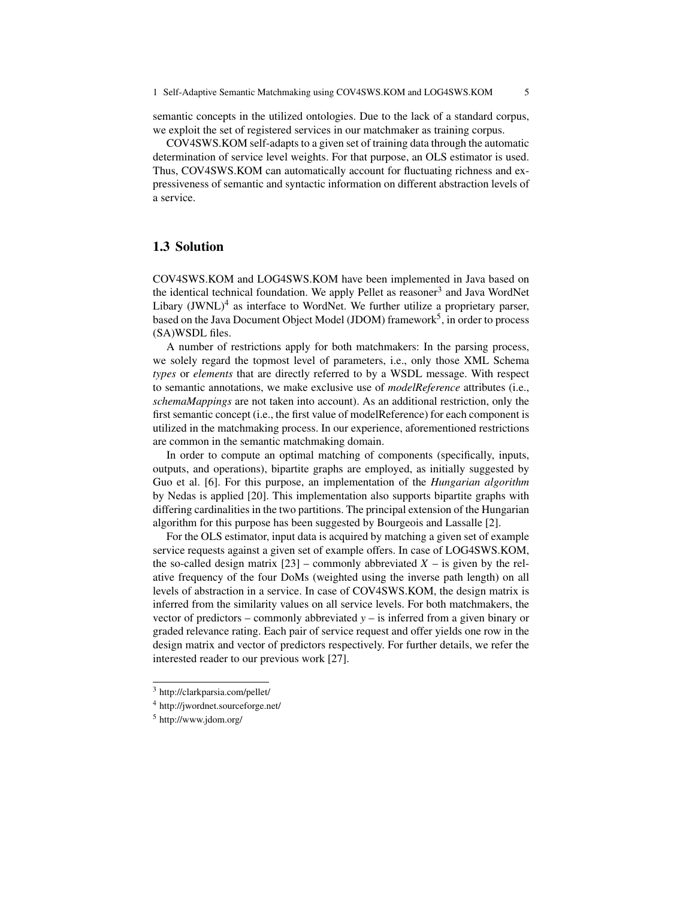semantic concepts in the utilized ontologies. Due to the lack of a standard corpus, we exploit the set of registered services in our matchmaker as training corpus.

COV4SWS.KOM self-adapts to a given set of training data through the automatic determination of service level weights. For that purpose, an OLS estimator is used. Thus, COV4SWS.KOM can automatically account for fluctuating richness and expressiveness of semantic and syntactic information on different abstraction levels of a service.

## 1.3 Solution

COV4SWS.KOM and LOG4SWS.KOM have been implemented in Java based on the identical technical foundation. We apply Pellet as reasoner<sup>3</sup> and Java WordNet Libary  $\text{JWNL}\text{+}^4$  as interface to WordNet. We further utilize a proprietary parser, based on the Java Document Object Model (JDOM) framework<sup>5</sup>, in order to process (SA)WSDL files.

A number of restrictions apply for both matchmakers: In the parsing process, we solely regard the topmost level of parameters, i.e., only those XML Schema *types* or *elements* that are directly referred to by a WSDL message. With respect to semantic annotations, we make exclusive use of *modelReference* attributes (i.e., *schemaMappings* are not taken into account). As an additional restriction, only the first semantic concept (i.e., the first value of modelReference) for each component is utilized in the matchmaking process. In our experience, aforementioned restrictions are common in the semantic matchmaking domain.

In order to compute an optimal matching of components (specifically, inputs, outputs, and operations), bipartite graphs are employed, as initially suggested by Guo et al. [6]. For this purpose, an implementation of the *Hungarian algorithm* by Nedas is applied [20]. This implementation also supports bipartite graphs with differing cardinalities in the two partitions. The principal extension of the Hungarian algorithm for this purpose has been suggested by Bourgeois and Lassalle [2].

For the OLS estimator, input data is acquired by matching a given set of example service requests against a given set of example offers. In case of LOG4SWS.KOM, the so-called design matrix  $[23]$  – commonly abbreviated  $X$  – is given by the relative frequency of the four DoMs (weighted using the inverse path length) on all levels of abstraction in a service. In case of COV4SWS.KOM, the design matrix is inferred from the similarity values on all service levels. For both matchmakers, the vector of predictors – commonly abbreviated *y* – is inferred from a given binary or graded relevance rating. Each pair of service request and offer yields one row in the design matrix and vector of predictors respectively. For further details, we refer the interested reader to our previous work [27].

<sup>3</sup> http://clarkparsia.com/pellet/

<sup>4</sup> http://jwordnet.sourceforge.net/

<sup>5</sup> http://www.jdom.org/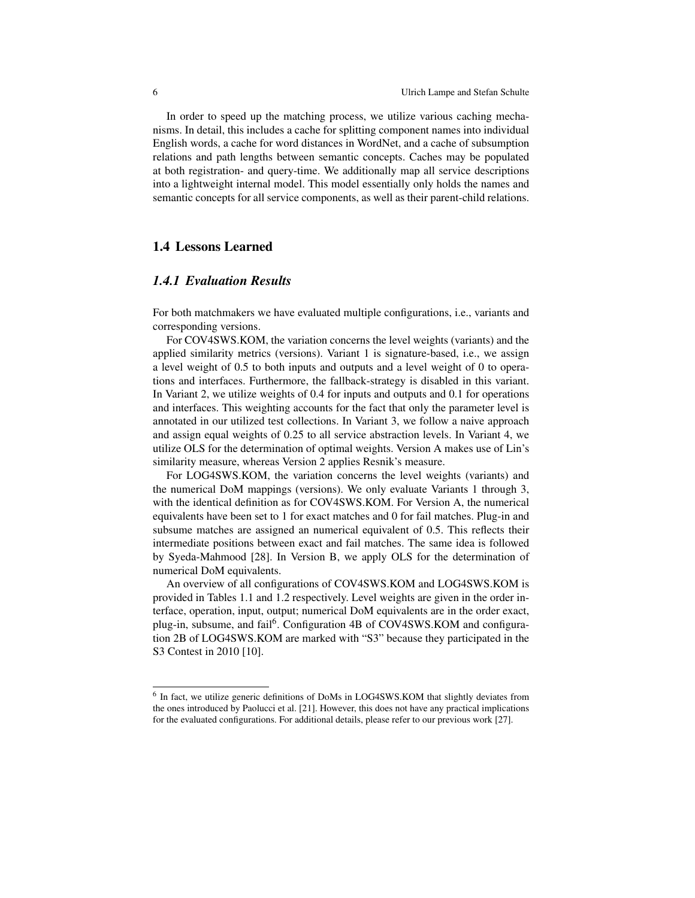In order to speed up the matching process, we utilize various caching mechanisms. In detail, this includes a cache for splitting component names into individual English words, a cache for word distances in WordNet, and a cache of subsumption relations and path lengths between semantic concepts. Caches may be populated at both registration- and query-time. We additionally map all service descriptions into a lightweight internal model. This model essentially only holds the names and semantic concepts for all service components, as well as their parent-child relations.

## 1.4 Lessons Learned

#### *1.4.1 Evaluation Results*

For both matchmakers we have evaluated multiple configurations, i.e., variants and corresponding versions.

For COV4SWS.KOM, the variation concerns the level weights (variants) and the applied similarity metrics (versions). Variant 1 is signature-based, i.e., we assign a level weight of 0.5 to both inputs and outputs and a level weight of 0 to operations and interfaces. Furthermore, the fallback-strategy is disabled in this variant. In Variant 2, we utilize weights of 0.4 for inputs and outputs and 0.1 for operations and interfaces. This weighting accounts for the fact that only the parameter level is annotated in our utilized test collections. In Variant 3, we follow a naive approach and assign equal weights of 0.25 to all service abstraction levels. In Variant 4, we utilize OLS for the determination of optimal weights. Version A makes use of Lin's similarity measure, whereas Version 2 applies Resnik's measure.

For LOG4SWS.KOM, the variation concerns the level weights (variants) and the numerical DoM mappings (versions). We only evaluate Variants 1 through 3, with the identical definition as for COV4SWS.KOM. For Version A, the numerical equivalents have been set to 1 for exact matches and 0 for fail matches. Plug-in and subsume matches are assigned an numerical equivalent of 0.5. This reflects their intermediate positions between exact and fail matches. The same idea is followed by Syeda-Mahmood [28]. In Version B, we apply OLS for the determination of numerical DoM equivalents.

An overview of all configurations of COV4SWS.KOM and LOG4SWS.KOM is provided in Tables 1.1 and 1.2 respectively. Level weights are given in the order interface, operation, input, output; numerical DoM equivalents are in the order exact, plug-in, subsume, and fail<sup>6</sup>. Configuration 4B of COV4SWS.KOM and configuration 2B of LOG4SWS.KOM are marked with "S3" because they participated in the S3 Contest in 2010 [10].

<sup>&</sup>lt;sup>6</sup> In fact, we utilize generic definitions of DoMs in LOG4SWS.KOM that slightly deviates from the ones introduced by Paolucci et al. [21]. However, this does not have any practical implications for the evaluated configurations. For additional details, please refer to our previous work [27].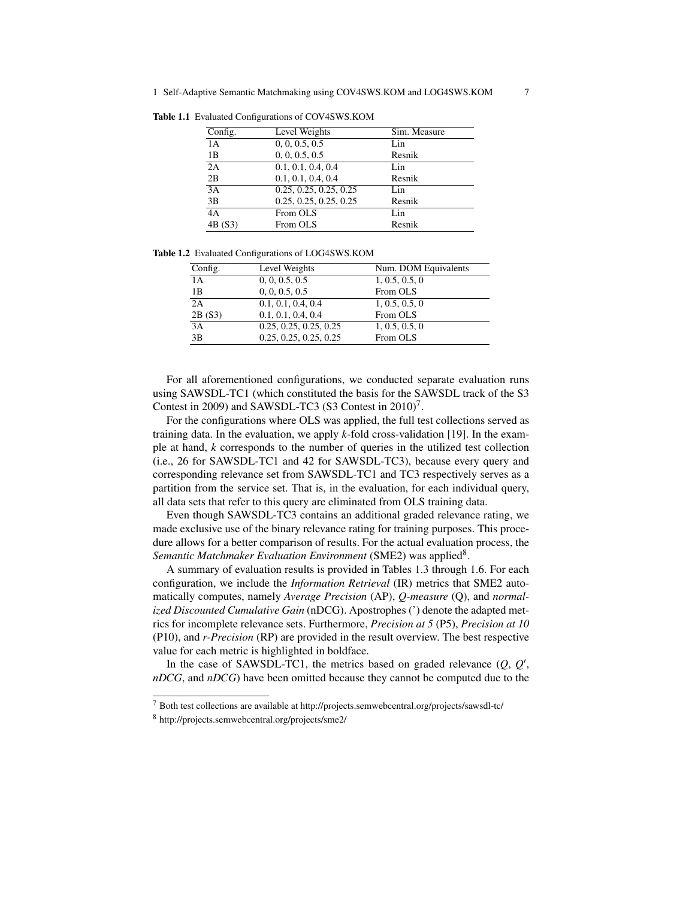| Config.         | Level Weights          | Sim. Measure |
|-----------------|------------------------|--------------|
| 1A              | 0, 0, 0.5, 0.5         | Lin          |
| 1B              | 0, 0, 0.5, 0.5         | Resnik       |
| 2A              | 0.1, 0.1, 0.4, 0.4     | Lin          |
| 2B              | 0.1, 0.1, 0.4, 0.4     | Resnik       |
| $\overline{3A}$ | 0.25, 0.25, 0.25, 0.25 | Lin          |
| 3B              | 0.25, 0.25, 0.25, 0.25 | Resnik       |
| $\overline{4A}$ | From OLS               | Lin          |
| 4B (S3)         | From OLS               | Resnik       |
|                 |                        |              |

Table 1.1 Evaluated Configurations of COV4SWS.KOM

Table 1.2 Evaluated Configurations of LOG4SWS.KOM

| Config. | Level Weights          | Num. DOM Equivalents |
|---------|------------------------|----------------------|
| 1A      | 0, 0, 0.5, 0.5         | 1, 0.5, 0.5, 0       |
| 1B      | 0, 0, 0.5, 0.5         | From OLS             |
| 2A      | 0.1, 0.1, 0.4, 0.4     | 1, 0.5, 0.5, 0       |
| 2B(S3)  | 0.1, 0.1, 0.4, 0.4     | From OLS             |
| 3A      | 0.25, 0.25, 0.25, 0.25 | 1, 0.5, 0.5, 0       |
| 3B      | 0.25, 0.25, 0.25, 0.25 | From OLS             |

For all aforementioned configurations, we conducted separate evaluation runs using SAWSDL-TC1 (which constituted the basis for the SAWSDL track of the S3 Contest in 2009) and SAWSDL-TC3 (S3 Contest in  $2010$ <sup>7</sup>.

For the configurations where OLS was applied, the full test collections served as training data. In the evaluation, we apply *k*-fold cross-validation [19]. In the example at hand, *k* corresponds to the number of queries in the utilized test collection (i.e., 26 for SAWSDL-TC1 and 42 for SAWSDL-TC3), because every query and corresponding relevance set from SAWSDL-TC1 and TC3 respectively serves as a partition from the service set. That is, in the evaluation, for each individual query, all data sets that refer to this query are eliminated from OLS training data.

Even though SAWSDL-TC3 contains an additional graded relevance rating, we made exclusive use of the binary relevance rating for training purposes. This procedure allows for a better comparison of results. For the actual evaluation process, the Semantic Matchmaker Evaluation Environment (SME2) was applied<sup>8</sup>.

A summary of evaluation results is provided in Tables 1.3 through 1.6. For each configuration, we include the *Information Retrieval* (IR) metrics that SME2 automatically computes, namely *Average Precision* (AP), *Q-measure* (Q), and *normalized Discounted Cumulative Gain* (nDCG). Apostrophes (') denote the adapted metrics for incomplete relevance sets. Furthermore, *Precision at 5* (P5), *Precision at 10* (P10), and *r-Precision* (RP) are provided in the result overview. The best respective value for each metric is highlighted in boldface.

In the case of SAWSDL-TC1, the metrics based on graded relevance  $(Q, Q', Q')$ *nDCG*, and *nDCG*) have been omitted because they cannot be computed due to the

<sup>7</sup> Both test collections are available at http://projects.semwebcentral.org/projects/sawsdl-tc/

<sup>8</sup> http://projects.semwebcentral.org/projects/sme2/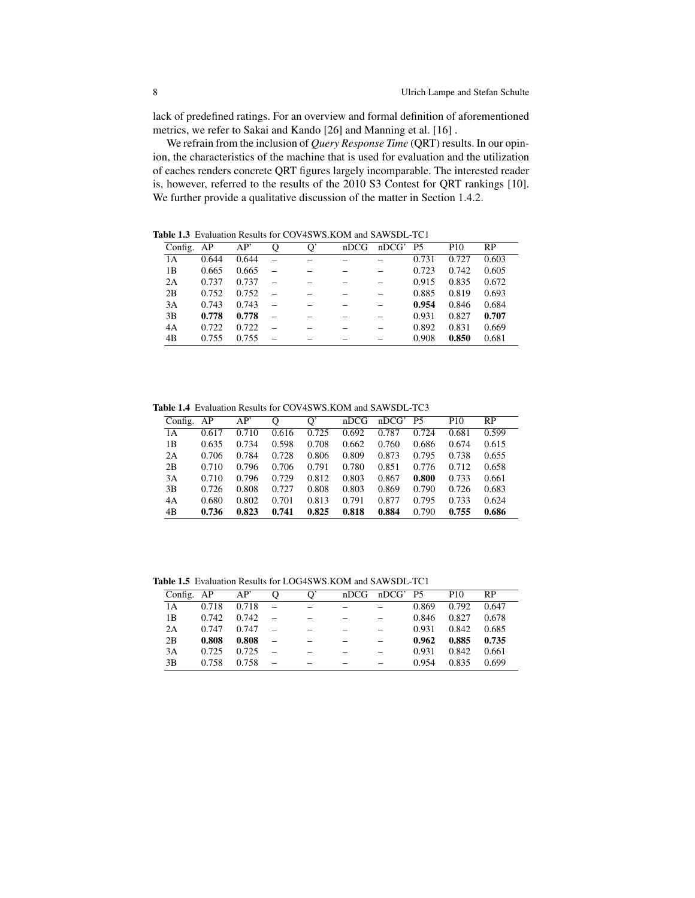lack of predefined ratings. For an overview and formal definition of aforementioned metrics, we refer to Sakai and Kando [26] and Manning et al. [16] .

We refrain from the inclusion of *Query Response Time* (QRT) results. In our opinion, the characteristics of the machine that is used for evaluation and the utilization of caches renders concrete QRT figures largely incomparable. The interested reader is, however, referred to the results of the 2010 S3 Contest for QRT rankings [10]. We further provide a qualitative discussion of the matter in Section 1.4.2.

Table 1.3 Evaluation Results for COV4SWS.KOM and SAWSDL-TC1

| Config. | AP    | AP'   | Q | $Q^{\prime}$ | nDCG | nDCG' | <b>P5</b> | P <sub>10</sub> | RP    |
|---------|-------|-------|---|--------------|------|-------|-----------|-----------------|-------|
| 1A      | 0.644 | 0.644 |   |              |      |       | 0.731     | 0.727           | 0.603 |
| 1B      | 0.665 | 0.665 |   |              |      |       | 0.723     | 0.742           | 0.605 |
| 2A      | 0.737 | 0.737 |   |              |      |       | 0.915     | 0.835           | 0.672 |
| 2B      | 0.752 | 0.752 |   |              |      |       | 0.885     | 0.819           | 0.693 |
| 3A      | 0.743 | 0.743 |   |              |      |       | 0.954     | 0.846           | 0.684 |
| 3B      | 0.778 | 0.778 |   |              |      |       | 0.931     | 0.827           | 0.707 |
| 4A      | 0.722 | 0.722 |   |              |      |       | 0.892     | 0.831           | 0.669 |
| 4B      | 0.755 | 0.755 |   |              |      |       | 0.908     | 0.850           | 0.681 |

Table 1.4 Evaluation Results for COV4SWS.KOM and SAWSDL-TC3

| Config. | AP    | AP'   | Ő     | $Q^{\prime}$ | nDCG  | nDCG  | P5    | P <sub>10</sub> | RP    |
|---------|-------|-------|-------|--------------|-------|-------|-------|-----------------|-------|
| 1A      | 0.617 | 0.710 | 0.616 | 0.725        | 0.692 | 0.787 | 0.724 | 0.681           | 0.599 |
| 1B      | 0.635 | 0.734 | 0.598 | 0.708        | 0.662 | 0.760 | 0.686 | 0.674           | 0.615 |
| 2A      | 0.706 | 0.784 | 0.728 | 0.806        | 0.809 | 0.873 | 0.795 | 0.738           | 0.655 |
| 2B      | 0.710 | 0.796 | 0.706 | 0.791        | 0.780 | 0.851 | 0.776 | 0.712           | 0.658 |
| 3A      | 0.710 | 0.796 | 0.729 | 0.812        | 0.803 | 0.867 | 0.800 | 0.733           | 0.661 |
| 3B      | 0.726 | 0.808 | 0.727 | 0.808        | 0.803 | 0.869 | 0.790 | 0.726           | 0.683 |
| 4A      | 0.680 | 0.802 | 0.701 | 0.813        | 0.791 | 0.877 | 0.795 | 0.733           | 0.624 |
| 4B      | 0.736 | 0.823 | 0.741 | 0.825        | 0.818 | 0.884 | 0.790 | 0.755           | 0.686 |

Table 1.5 Evaluation Results for LOG4SWS.KOM and SAWSDL-TC1

| Config. AP |       | AP'   | O | $\Omega$ | nDCG | $nDCG'$ P5 |       | P <sub>10</sub> | RP    |
|------------|-------|-------|---|----------|------|------------|-------|-----------------|-------|
| 1А         | 0.718 | 0.718 |   |          |      |            | 0.869 | 0.792           | 0.647 |
| 1B         | 0.742 | 0.742 |   |          | -    | $\equiv$   | 0.846 | 0.827           | 0.678 |
| 2A         | 0.747 | 0.747 |   |          |      |            | 0.931 | 0.842           | 0.685 |
| 2B         | 0.808 | 0.808 |   |          |      |            | 0.962 | 0.885           | 0.735 |
| 3A         | 0.725 | 0.725 |   |          |      | -          | 0.931 | 0.842           | 0.661 |
| 3B         | 0.758 | 0.758 |   |          |      |            | 0.954 | 0.835           | 0.699 |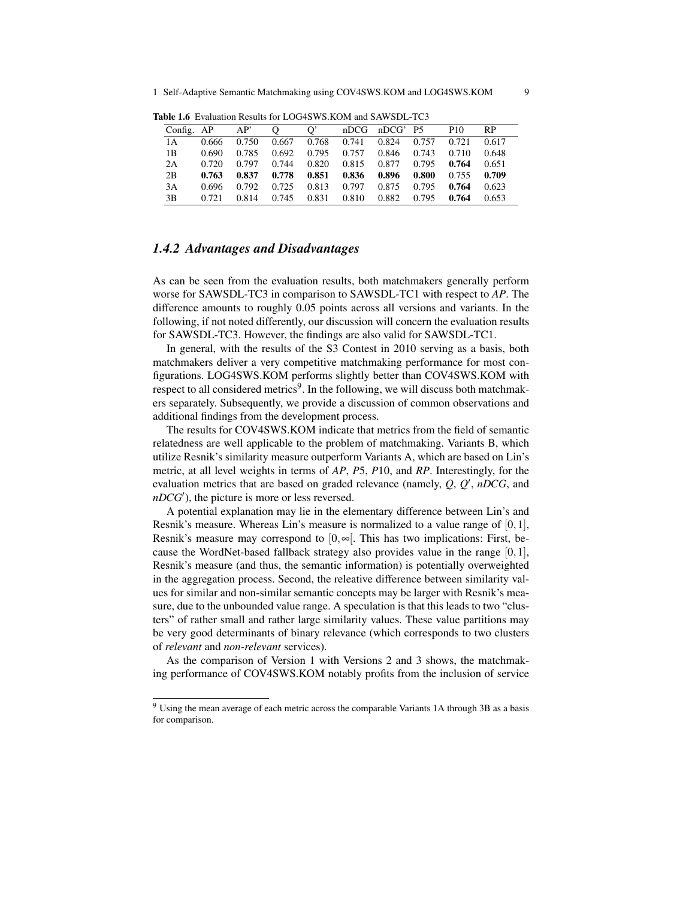| Config. $AP$ |       | AP'   |       | O     | nDCG  | $nDCG'$ P5 |       | P <sub>10</sub> | <b>RP</b> |
|--------------|-------|-------|-------|-------|-------|------------|-------|-----------------|-----------|
| 1А           | 0.666 | 0.750 | 0.667 | 0.768 | 0.741 | 0.824      | 0.757 | 0.721           | 0.617     |
| 1Β           | 0.690 | 0.785 | 0.692 | 0.795 | 0.757 | 0.846      | 0.743 | 0.710           | 0.648     |
| 2A           | 0.720 | 0.797 | 0.744 | 0.820 | 0.815 | 0.877      | 0.795 | 0.764           | 0.651     |
| 2B           | 0.763 | 0.837 | 0.778 | 0.851 | 0.836 | 0.896      | 0.800 | 0.755           | 0.709     |
| 3A           | 0.696 | 0.792 | 0.725 | 0.813 | 0.797 | 0.875      | 0.795 | 0.764           | 0.623     |
| 3B           | 0.721 | 0.814 | 0.745 | 0.831 | 0.810 | 0.882      | 0.795 | 0.764           | 0.653     |

Table 1.6 Evaluation Results for LOG4SWS.KOM and SAWSDL-TC3

#### *1.4.2 Advantages and Disadvantages*

As can be seen from the evaluation results, both matchmakers generally perform worse for SAWSDL-TC3 in comparison to SAWSDL-TC1 with respect to *AP*. The difference amounts to roughly 0.05 points across all versions and variants. In the following, if not noted differently, our discussion will concern the evaluation results for SAWSDL-TC3. However, the findings are also valid for SAWSDL-TC1.

In general, with the results of the S3 Contest in 2010 serving as a basis, both matchmakers deliver a very competitive matchmaking performance for most configurations. LOG4SWS.KOM performs slightly better than COV4SWS.KOM with respect to all considered metrics<sup>9</sup>. In the following, we will discuss both matchmakers separately. Subsequently, we provide a discussion of common observations and additional findings from the development process.

The results for COV4SWS.KOM indicate that metrics from the field of semantic relatedness are well applicable to the problem of matchmaking. Variants B, which utilize Resnik's similarity measure outperform Variants A, which are based on Lin's metric, at all level weights in terms of *AP*, *P*5, *P*10, and *RP*. Interestingly, for the evaluation metrics that are based on graded relevance (namely,  $Q$ ,  $Q'$ ,  $nDCG$ , and  $nDCG'$ ), the picture is more or less reversed.

A potential explanation may lie in the elementary difference between Lin's and Resnik's measure. Whereas Lin's measure is normalized to a value range of  $[0,1]$ , Resnik's measure may correspond to  $[0, \infty]$ . This has two implications: First, because the WordNet-based fallback strategy also provides value in the range  $[0,1]$ , Resnik's measure (and thus, the semantic information) is potentially overweighted in the aggregation process. Second, the releative difference between similarity values for similar and non-similar semantic concepts may be larger with Resnik's measure, due to the unbounded value range. A speculation is that this leads to two "clusters" of rather small and rather large similarity values. These value partitions may be very good determinants of binary relevance (which corresponds to two clusters of *relevant* and *non-relevant* services).

As the comparison of Version 1 with Versions 2 and 3 shows, the matchmaking performance of COV4SWS.KOM notably profits from the inclusion of service

<sup>&</sup>lt;sup>9</sup> Using the mean average of each metric across the comparable Variants 1A through 3B as a basis for comparison.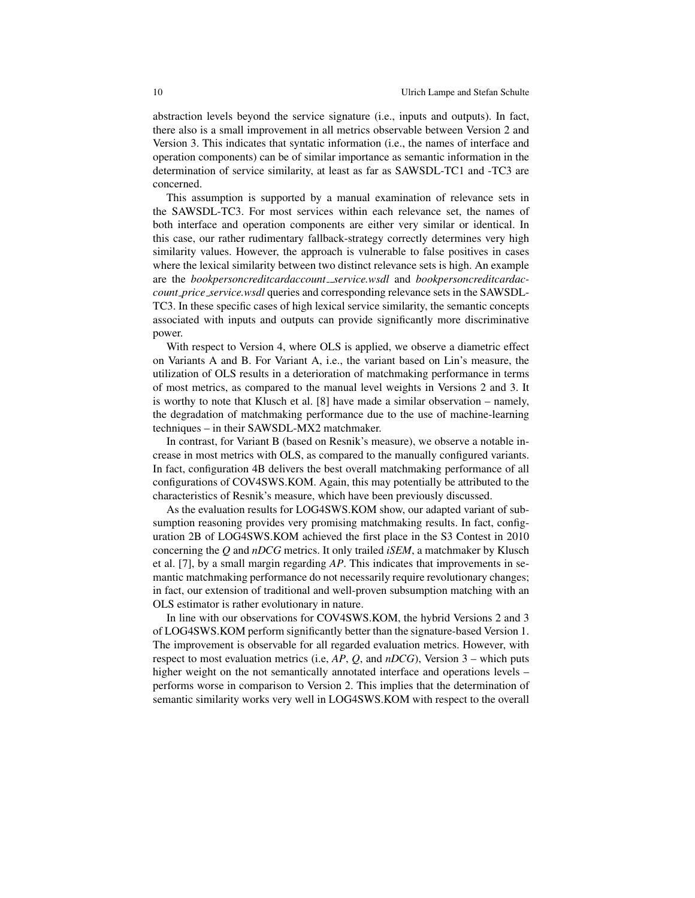abstraction levels beyond the service signature (i.e., inputs and outputs). In fact, there also is a small improvement in all metrics observable between Version 2 and Version 3. This indicates that syntatic information (i.e., the names of interface and operation components) can be of similar importance as semantic information in the determination of service similarity, at least as far as SAWSDL-TC1 and -TC3 are concerned.

This assumption is supported by a manual examination of relevance sets in the SAWSDL-TC3. For most services within each relevance set, the names of both interface and operation components are either very similar or identical. In this case, our rather rudimentary fallback-strategy correctly determines very high similarity values. However, the approach is vulnerable to false positives in cases where the lexical similarity between two distinct relevance sets is high. An example are the *bookpersoncreditcardaccount service.wsdl* and *bookpersoncreditcardaccount price service.wsdl* queries and corresponding relevance sets in the SAWSDL-TC3. In these specific cases of high lexical service similarity, the semantic concepts associated with inputs and outputs can provide significantly more discriminative power.

With respect to Version 4, where OLS is applied, we observe a diametric effect on Variants A and B. For Variant A, i.e., the variant based on Lin's measure, the utilization of OLS results in a deterioration of matchmaking performance in terms of most metrics, as compared to the manual level weights in Versions 2 and 3. It is worthy to note that Klusch et al. [8] have made a similar observation – namely, the degradation of matchmaking performance due to the use of machine-learning techniques – in their SAWSDL-MX2 matchmaker.

In contrast, for Variant B (based on Resnik's measure), we observe a notable increase in most metrics with OLS, as compared to the manually configured variants. In fact, configuration 4B delivers the best overall matchmaking performance of all configurations of COV4SWS.KOM. Again, this may potentially be attributed to the characteristics of Resnik's measure, which have been previously discussed.

As the evaluation results for LOG4SWS.KOM show, our adapted variant of subsumption reasoning provides very promising matchmaking results. In fact, configuration 2B of LOG4SWS.KOM achieved the first place in the S3 Contest in 2010 concerning the *Q* and *nDCG* metrics. It only trailed *iSEM*, a matchmaker by Klusch et al. [7], by a small margin regarding *AP*. This indicates that improvements in semantic matchmaking performance do not necessarily require revolutionary changes; in fact, our extension of traditional and well-proven subsumption matching with an OLS estimator is rather evolutionary in nature.

In line with our observations for COV4SWS.KOM, the hybrid Versions 2 and 3 of LOG4SWS.KOM perform significantly better than the signature-based Version 1. The improvement is observable for all regarded evaluation metrics. However, with respect to most evaluation metrics (i.e, *AP*, *Q*, and *nDCG*), Version 3 – which puts higher weight on the not semantically annotated interface and operations levels – performs worse in comparison to Version 2. This implies that the determination of semantic similarity works very well in LOG4SWS.KOM with respect to the overall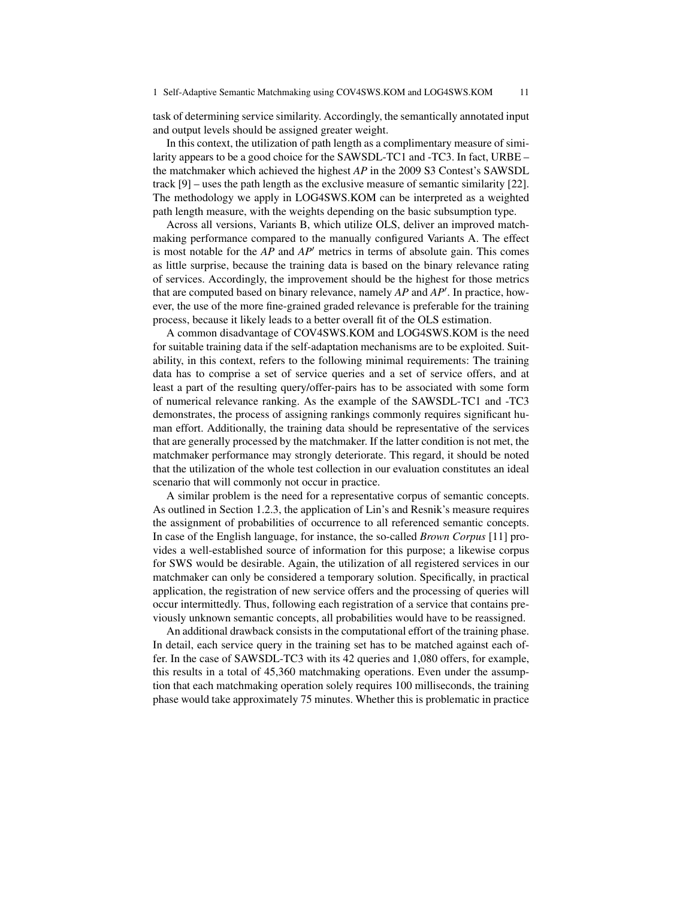task of determining service similarity. Accordingly, the semantically annotated input and output levels should be assigned greater weight.

In this context, the utilization of path length as a complimentary measure of similarity appears to be a good choice for the SAWSDL-TC1 and -TC3. In fact, URBE – the matchmaker which achieved the highest *AP* in the 2009 S3 Contest's SAWSDL track [9] – uses the path length as the exclusive measure of semantic similarity [22]. The methodology we apply in LOG4SWS.KOM can be interpreted as a weighted path length measure, with the weights depending on the basic subsumption type.

Across all versions, Variants B, which utilize OLS, deliver an improved matchmaking performance compared to the manually configured Variants A. The effect is most notable for the  $AP$  and  $AP'$  metrics in terms of absolute gain. This comes as little surprise, because the training data is based on the binary relevance rating of services. Accordingly, the improvement should be the highest for those metrics that are computed based on binary relevance, namely  $AP$  and  $AP'$ . In practice, however, the use of the more fine-grained graded relevance is preferable for the training process, because it likely leads to a better overall fit of the OLS estimation.

A common disadvantage of COV4SWS.KOM and LOG4SWS.KOM is the need for suitable training data if the self-adaptation mechanisms are to be exploited. Suitability, in this context, refers to the following minimal requirements: The training data has to comprise a set of service queries and a set of service offers, and at least a part of the resulting query/offer-pairs has to be associated with some form of numerical relevance ranking. As the example of the SAWSDL-TC1 and -TC3 demonstrates, the process of assigning rankings commonly requires significant human effort. Additionally, the training data should be representative of the services that are generally processed by the matchmaker. If the latter condition is not met, the matchmaker performance may strongly deteriorate. This regard, it should be noted that the utilization of the whole test collection in our evaluation constitutes an ideal scenario that will commonly not occur in practice.

A similar problem is the need for a representative corpus of semantic concepts. As outlined in Section 1.2.3, the application of Lin's and Resnik's measure requires the assignment of probabilities of occurrence to all referenced semantic concepts. In case of the English language, for instance, the so-called *Brown Corpus* [11] provides a well-established source of information for this purpose; a likewise corpus for SWS would be desirable. Again, the utilization of all registered services in our matchmaker can only be considered a temporary solution. Specifically, in practical application, the registration of new service offers and the processing of queries will occur intermittedly. Thus, following each registration of a service that contains previously unknown semantic concepts, all probabilities would have to be reassigned.

An additional drawback consists in the computational effort of the training phase. In detail, each service query in the training set has to be matched against each offer. In the case of SAWSDL-TC3 with its 42 queries and 1,080 offers, for example, this results in a total of 45,360 matchmaking operations. Even under the assumption that each matchmaking operation solely requires 100 milliseconds, the training phase would take approximately 75 minutes. Whether this is problematic in practice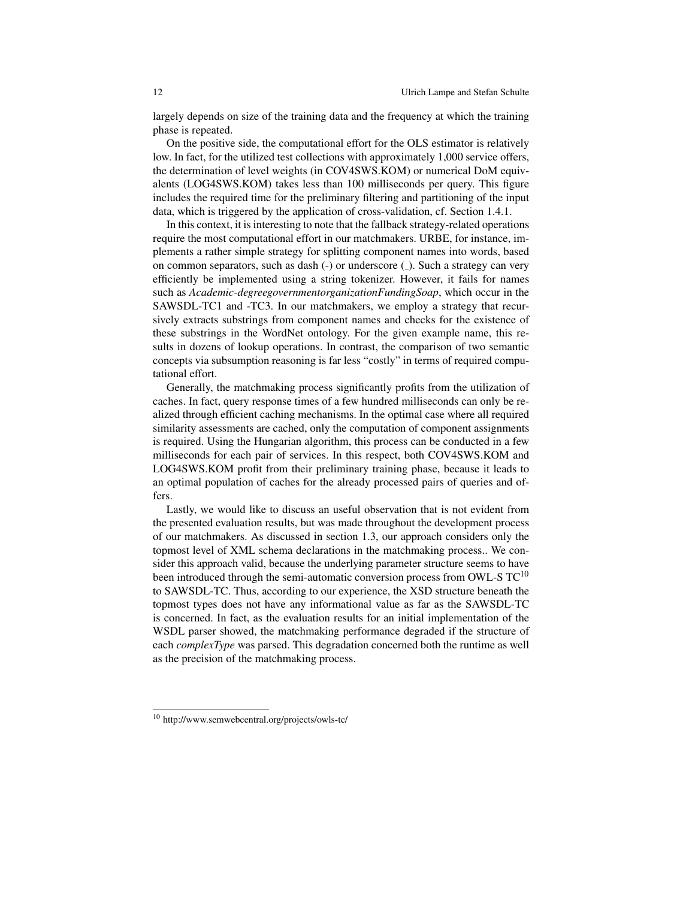largely depends on size of the training data and the frequency at which the training phase is repeated.

On the positive side, the computational effort for the OLS estimator is relatively low. In fact, for the utilized test collections with approximately 1,000 service offers, the determination of level weights (in COV4SWS.KOM) or numerical DoM equivalents (LOG4SWS.KOM) takes less than 100 milliseconds per query. This figure includes the required time for the preliminary filtering and partitioning of the input data, which is triggered by the application of cross-validation, cf. Section 1.4.1.

In this context, it is interesting to note that the fallback strategy-related operations require the most computational effort in our matchmakers. URBE, for instance, implements a rather simple strategy for splitting component names into words, based on common separators, such as dash (-) or underscore ( ). Such a strategy can very efficiently be implemented using a string tokenizer. However, it fails for names such as *Academic-degreegovernmentorganizationFundingSoap*, which occur in the SAWSDL-TC1 and -TC3. In our matchmakers, we employ a strategy that recursively extracts substrings from component names and checks for the existence of these substrings in the WordNet ontology. For the given example name, this results in dozens of lookup operations. In contrast, the comparison of two semantic concepts via subsumption reasoning is far less "costly" in terms of required computational effort.

Generally, the matchmaking process significantly profits from the utilization of caches. In fact, query response times of a few hundred milliseconds can only be realized through efficient caching mechanisms. In the optimal case where all required similarity assessments are cached, only the computation of component assignments is required. Using the Hungarian algorithm, this process can be conducted in a few milliseconds for each pair of services. In this respect, both COV4SWS.KOM and LOG4SWS.KOM profit from their preliminary training phase, because it leads to an optimal population of caches for the already processed pairs of queries and offers.

Lastly, we would like to discuss an useful observation that is not evident from the presented evaluation results, but was made throughout the development process of our matchmakers. As discussed in section 1.3, our approach considers only the topmost level of XML schema declarations in the matchmaking process.. We consider this approach valid, because the underlying parameter structure seems to have been introduced through the semi-automatic conversion process from OWL-S  $TC^{10}$ to SAWSDL-TC. Thus, according to our experience, the XSD structure beneath the topmost types does not have any informational value as far as the SAWSDL-TC is concerned. In fact, as the evaluation results for an initial implementation of the WSDL parser showed, the matchmaking performance degraded if the structure of each *complexType* was parsed. This degradation concerned both the runtime as well as the precision of the matchmaking process.

<sup>10</sup> http://www.semwebcentral.org/projects/owls-tc/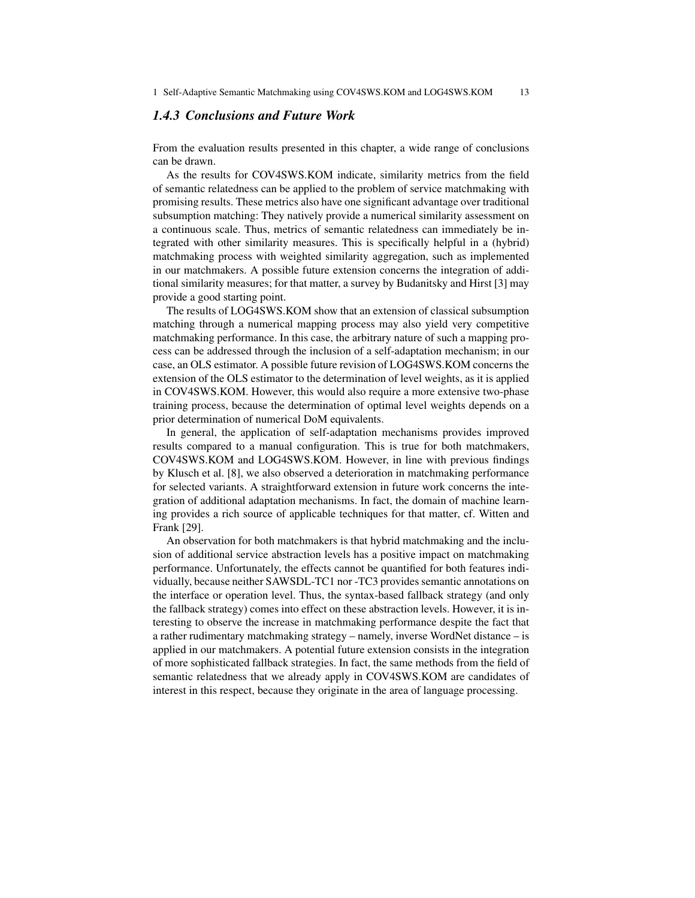#### *1.4.3 Conclusions and Future Work*

From the evaluation results presented in this chapter, a wide range of conclusions can be drawn.

As the results for COV4SWS.KOM indicate, similarity metrics from the field of semantic relatedness can be applied to the problem of service matchmaking with promising results. These metrics also have one significant advantage over traditional subsumption matching: They natively provide a numerical similarity assessment on a continuous scale. Thus, metrics of semantic relatedness can immediately be integrated with other similarity measures. This is specifically helpful in a (hybrid) matchmaking process with weighted similarity aggregation, such as implemented in our matchmakers. A possible future extension concerns the integration of additional similarity measures; for that matter, a survey by Budanitsky and Hirst [3] may provide a good starting point.

The results of LOG4SWS.KOM show that an extension of classical subsumption matching through a numerical mapping process may also yield very competitive matchmaking performance. In this case, the arbitrary nature of such a mapping process can be addressed through the inclusion of a self-adaptation mechanism; in our case, an OLS estimator. A possible future revision of LOG4SWS.KOM concerns the extension of the OLS estimator to the determination of level weights, as it is applied in COV4SWS.KOM. However, this would also require a more extensive two-phase training process, because the determination of optimal level weights depends on a prior determination of numerical DoM equivalents.

In general, the application of self-adaptation mechanisms provides improved results compared to a manual configuration. This is true for both matchmakers, COV4SWS.KOM and LOG4SWS.KOM. However, in line with previous findings by Klusch et al. [8], we also observed a deterioration in matchmaking performance for selected variants. A straightforward extension in future work concerns the integration of additional adaptation mechanisms. In fact, the domain of machine learning provides a rich source of applicable techniques for that matter, cf. Witten and Frank [29].

An observation for both matchmakers is that hybrid matchmaking and the inclusion of additional service abstraction levels has a positive impact on matchmaking performance. Unfortunately, the effects cannot be quantified for both features individually, because neither SAWSDL-TC1 nor -TC3 provides semantic annotations on the interface or operation level. Thus, the syntax-based fallback strategy (and only the fallback strategy) comes into effect on these abstraction levels. However, it is interesting to observe the increase in matchmaking performance despite the fact that a rather rudimentary matchmaking strategy – namely, inverse WordNet distance – is applied in our matchmakers. A potential future extension consists in the integration of more sophisticated fallback strategies. In fact, the same methods from the field of semantic relatedness that we already apply in COV4SWS.KOM are candidates of interest in this respect, because they originate in the area of language processing.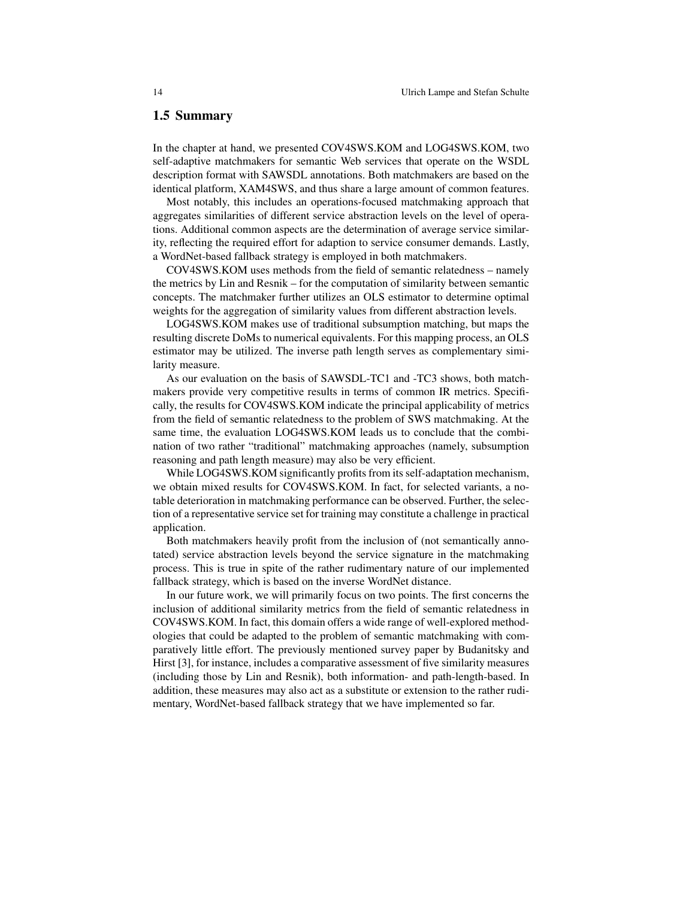### 1.5 Summary

In the chapter at hand, we presented COV4SWS.KOM and LOG4SWS.KOM, two self-adaptive matchmakers for semantic Web services that operate on the WSDL description format with SAWSDL annotations. Both matchmakers are based on the identical platform, XAM4SWS, and thus share a large amount of common features.

Most notably, this includes an operations-focused matchmaking approach that aggregates similarities of different service abstraction levels on the level of operations. Additional common aspects are the determination of average service similarity, reflecting the required effort for adaption to service consumer demands. Lastly, a WordNet-based fallback strategy is employed in both matchmakers.

COV4SWS.KOM uses methods from the field of semantic relatedness – namely the metrics by Lin and Resnik – for the computation of similarity between semantic concepts. The matchmaker further utilizes an OLS estimator to determine optimal weights for the aggregation of similarity values from different abstraction levels.

LOG4SWS.KOM makes use of traditional subsumption matching, but maps the resulting discrete DoMs to numerical equivalents. For this mapping process, an OLS estimator may be utilized. The inverse path length serves as complementary similarity measure.

As our evaluation on the basis of SAWSDL-TC1 and -TC3 shows, both matchmakers provide very competitive results in terms of common IR metrics. Specifically, the results for COV4SWS.KOM indicate the principal applicability of metrics from the field of semantic relatedness to the problem of SWS matchmaking. At the same time, the evaluation LOG4SWS.KOM leads us to conclude that the combination of two rather "traditional" matchmaking approaches (namely, subsumption reasoning and path length measure) may also be very efficient.

While LOG4SWS.KOM significantly profits from its self-adaptation mechanism, we obtain mixed results for COV4SWS.KOM. In fact, for selected variants, a notable deterioration in matchmaking performance can be observed. Further, the selection of a representative service set for training may constitute a challenge in practical application.

Both matchmakers heavily profit from the inclusion of (not semantically annotated) service abstraction levels beyond the service signature in the matchmaking process. This is true in spite of the rather rudimentary nature of our implemented fallback strategy, which is based on the inverse WordNet distance.

In our future work, we will primarily focus on two points. The first concerns the inclusion of additional similarity metrics from the field of semantic relatedness in COV4SWS.KOM. In fact, this domain offers a wide range of well-explored methodologies that could be adapted to the problem of semantic matchmaking with comparatively little effort. The previously mentioned survey paper by Budanitsky and Hirst [3], for instance, includes a comparative assessment of five similarity measures (including those by Lin and Resnik), both information- and path-length-based. In addition, these measures may also act as a substitute or extension to the rather rudimentary, WordNet-based fallback strategy that we have implemented so far.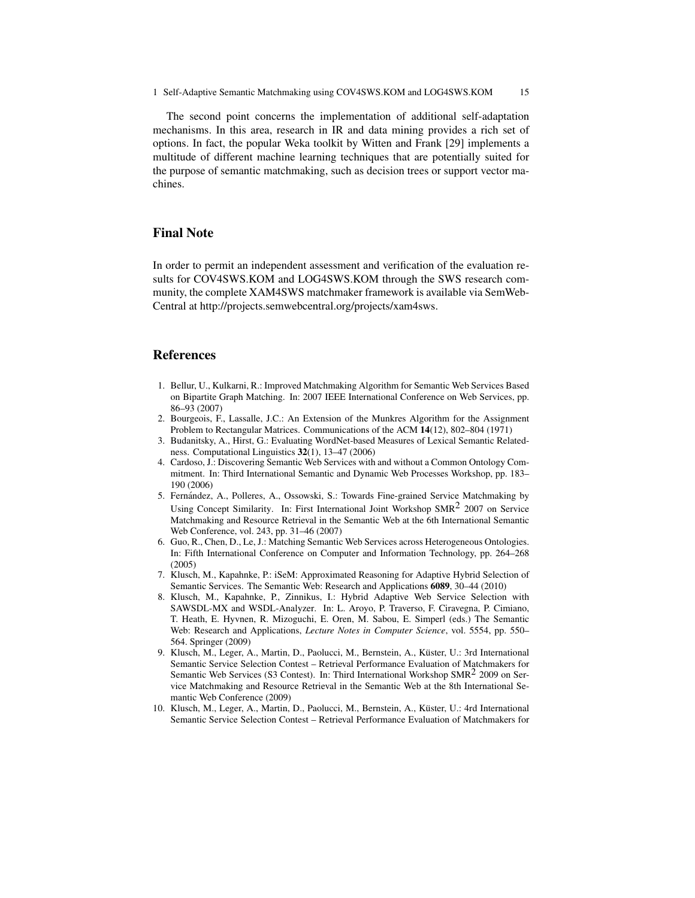The second point concerns the implementation of additional self-adaptation mechanisms. In this area, research in IR and data mining provides a rich set of options. In fact, the popular Weka toolkit by Witten and Frank [29] implements a multitude of different machine learning techniques that are potentially suited for the purpose of semantic matchmaking, such as decision trees or support vector machines.

### Final Note

In order to permit an independent assessment and verification of the evaluation results for COV4SWS.KOM and LOG4SWS.KOM through the SWS research community, the complete XAM4SWS matchmaker framework is available via SemWeb-Central at http://projects.semwebcentral.org/projects/xam4sws.

#### References

- 1. Bellur, U., Kulkarni, R.: Improved Matchmaking Algorithm for Semantic Web Services Based on Bipartite Graph Matching. In: 2007 IEEE International Conference on Web Services, pp. 86–93 (2007)
- 2. Bourgeois, F., Lassalle, J.C.: An Extension of the Munkres Algorithm for the Assignment Problem to Rectangular Matrices. Communications of the ACM 14(12), 802–804 (1971)
- 3. Budanitsky, A., Hirst, G.: Evaluating WordNet-based Measures of Lexical Semantic Relatedness. Computational Linguistics 32(1), 13–47 (2006)
- 4. Cardoso, J.: Discovering Semantic Web Services with and without a Common Ontology Commitment. In: Third International Semantic and Dynamic Web Processes Workshop, pp. 183– 190 (2006)
- 5. Fernández, A., Polleres, A., Ossowski, S.: Towards Fine-grained Service Matchmaking by Using Concept Similarity. In: First International Joint Workshop  $SMR^2$  2007 on Service Matchmaking and Resource Retrieval in the Semantic Web at the 6th International Semantic Web Conference, vol. 243, pp. 31–46 (2007)
- 6. Guo, R., Chen, D., Le, J.: Matching Semantic Web Services across Heterogeneous Ontologies. In: Fifth International Conference on Computer and Information Technology, pp. 264–268 (2005)
- 7. Klusch, M., Kapahnke, P.: iSeM: Approximated Reasoning for Adaptive Hybrid Selection of Semantic Services. The Semantic Web: Research and Applications 6089, 30–44 (2010)
- 8. Klusch, M., Kapahnke, P., Zinnikus, I.: Hybrid Adaptive Web Service Selection with SAWSDL-MX and WSDL-Analyzer. In: L. Aroyo, P. Traverso, F. Ciravegna, P. Cimiano, T. Heath, E. Hyvnen, R. Mizoguchi, E. Oren, M. Sabou, E. Simperl (eds.) The Semantic Web: Research and Applications, *Lecture Notes in Computer Science*, vol. 5554, pp. 550– 564. Springer (2009)
- 9. Klusch, M., Leger, A., Martin, D., Paolucci, M., Bernstein, A., Küster, U.: 3rd International Semantic Service Selection Contest – Retrieval Performance Evaluation of Matchmakers for Semantic Web Services (S3 Contest). In: Third International Workshop SMR<sup>2</sup> 2009 on Service Matchmaking and Resource Retrieval in the Semantic Web at the 8th International Semantic Web Conference (2009)
- 10. Klusch, M., Leger, A., Martin, D., Paolucci, M., Bernstein, A., Kuster, U.: 4rd International ¨ Semantic Service Selection Contest – Retrieval Performance Evaluation of Matchmakers for